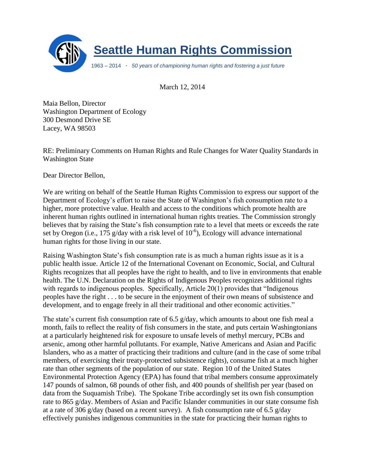

March 12, 2014

Maia Bellon, Director Washington Department of Ecology 300 Desmond Drive SE Lacey, WA 98503

RE: Preliminary Comments on Human Rights and Rule Changes for Water Quality Standards in Washington State

Dear Director Bellon,

We are writing on behalf of the Seattle Human Rights Commission to express our support of the Department of Ecology's effort to raise the State of Washington's fish consumption rate to a higher, more protective value. Health and access to the conditions which promote health are inherent human rights outlined in international human rights treaties. The Commission strongly believes that by raising the State's fish consumption rate to a level that meets or exceeds the rate set by Oregon (i.e., 175 g/day with a risk level of  $10^{-6}$ ), Ecology will advance international human rights for those living in our state.

Raising Washington State's fish consumption rate is as much a human rights issue as it is a public health issue. Article 12 of the International Covenant on Economic, Social, and Cultural Rights recognizes that all peoples have the right to health, and to live in environments that enable health. The U.N. Declaration on the Rights of Indigenous Peoples recognizes additional rights with regards to indigenous peoples. Specifically, Article 20(1) provides that "Indigenous peoples have the right . . . to be secure in the enjoyment of their own means of subsistence and development, and to engage freely in all their traditional and other economic activities."

The state's current fish consumption rate of 6.5  $g/day$ , which amounts to about one fish meal a month, fails to reflect the reality of fish consumers in the state, and puts certain Washingtonians at a particularly heightened risk for exposure to unsafe levels of methyl mercury, PCBs and arsenic, among other harmful pollutants. For example, Native Americans and Asian and Pacific Islanders, who as a matter of practicing their traditions and culture (and in the case of some tribal members, of exercising their treaty-protected subsistence rights), consume fish at a much higher rate than other segments of the population of our state. Region 10 of the United States Environmental Protection Agency (EPA) has found that tribal members consume approximately 147 pounds of salmon, 68 pounds of other fish, and 400 pounds of shellfish per year (based on data from the Suquamish Tribe). The Spokane Tribe accordingly set its own fish consumption rate to 865 g/day. Members of Asian and Pacific Islander communities in our state consume fish at a rate of 306 g/day (based on a recent survey). A fish consumption rate of 6.5 g/day effectively punishes indigenous communities in the state for practicing their human rights to